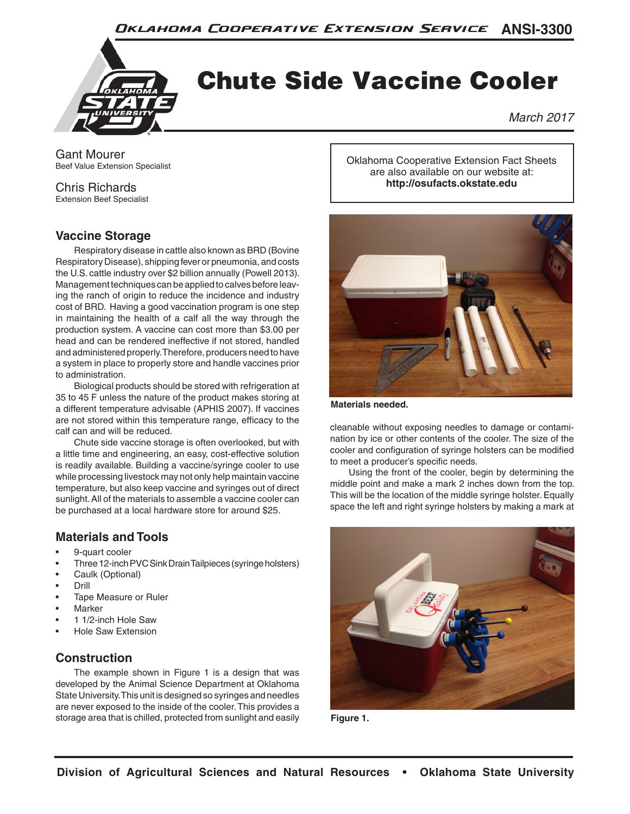

# Chute Side Vaccine Cooler

*March 2017*

Gant Mourer Beef Value Extension Specialist

#### Chris Richards

Extension Beef Specialist

### **Vaccine Storage**

Respiratory disease in cattle also known as BRD (Bovine Respiratory Disease), shipping fever or pneumonia, and costs the U.S. cattle industry over \$2 billion annually (Powell 2013). Management techniques can be applied to calves before leaving the ranch of origin to reduce the incidence and industry cost of BRD. Having a good vaccination program is one step in maintaining the health of a calf all the way through the production system. A vaccine can cost more than \$3.00 per head and can be rendered ineffective if not stored, handled and administered properly. Therefore, producers need to have a system in place to properly store and handle vaccines prior to administration.

Biological products should be stored with refrigeration at 35 to 45 F unless the nature of the product makes storing at a different temperature advisable (APHIS 2007). If vaccines are not stored within this temperature range, efficacy to the calf can and will be reduced.

Chute side vaccine storage is often overlooked, but with a little time and engineering, an easy, cost-effective solution is readily available. Building a vaccine/syringe cooler to use while processing livestock may not only help maintain vaccine temperature, but also keep vaccine and syringes out of direct sunlight. All of the materials to assemble a vaccine cooler can be purchased at a local hardware store for around \$25.

# **Materials and Tools**

- 9-quart cooler
- Three 12-inch PVC Sink Drain Tailpieces (syringe holsters)
- Caulk (Optional)
- Drill
- Tape Measure or Ruler
- **Marker**
- 1 1/2-inch Hole Saw
- Hole Saw Extension

# **Construction**

The example shown in Figure 1 is a design that was developed by the Animal Science Department at Oklahoma State University. This unit is designed so syringes and needles are never exposed to the inside of the cooler. This provides a storage area that is chilled, protected from sunlight and easily

Oklahoma Cooperative Extension Fact Sheets are also available on our website at: **http://osufacts.okstate.edu**



**Materials needed.**

cleanable without exposing needles to damage or contamination by ice or other contents of the cooler. The size of the cooler and configuration of syringe holsters can be modified to meet a producer's specific needs.

Using the front of the cooler, begin by determining the middle point and make a mark 2 inches down from the top. This will be the location of the middle syringe holster. Equally space the left and right syringe holsters by making a mark at



**Figure 1.**